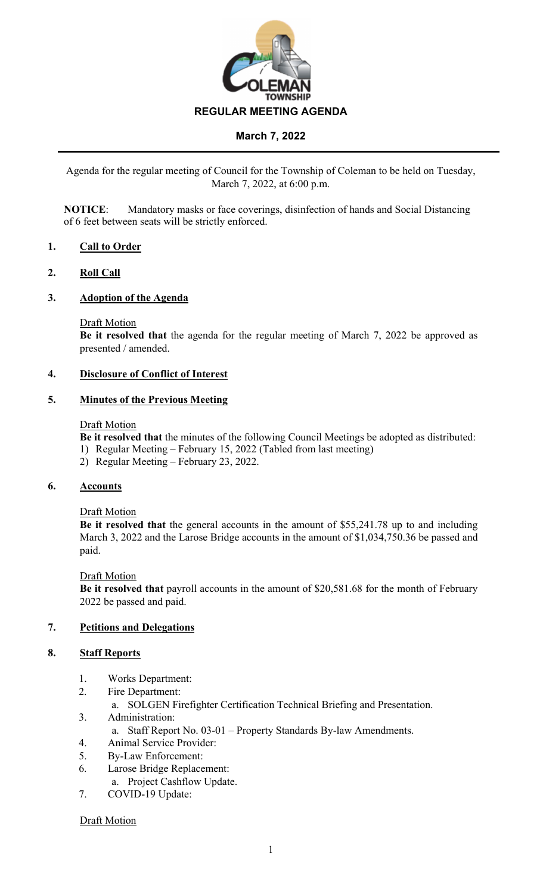

Agenda for the regular meeting of Council for the Township of Coleman to be held on Tuesday, March 7, 2022, at 6:00 p.m.

**NOTICE**: Mandatory masks or face coverings, disinfection of hands and Social Distancing of 6 feet between seats will be strictly enforced.

## **1. Call to Order**

## **2. Roll Call**

#### **3. Adoption of the Agenda**

#### Draft Motion

**Be it resolved that** the agenda for the regular meeting of March 7, 2022 be approved as presented / amended.

## **4. Disclosure of Conflict of Interest**

#### **5. Minutes of the Previous Meeting**

#### Draft Motion

**Be it resolved that** the minutes of the following Council Meetings be adopted as distributed:

- 1) Regular Meeting February 15, 2022 (Tabled from last meeting)
- 2) Regular Meeting February 23, 2022.

#### **6. Accounts**

## Draft Motion

**Be it resolved that** the general accounts in the amount of \$55,241.78 up to and including March 3, 2022 and the Larose Bridge accounts in the amount of \$1,034,750.36 be passed and paid.

#### Draft Motion

**Be it resolved that** payroll accounts in the amount of \$20,581.68 for the month of February 2022 be passed and paid.

## **7. Petitions and Delegations**

#### **8. Staff Reports**

- 1. Works Department:
- 2. Fire Department:
	- a. SOLGEN Firefighter Certification Technical Briefing and Presentation.
- 3. Administration:
	- a. Staff Report No. 03-01 Property Standards By-law Amendments.
- 4. Animal Service Provider:
- 5. By-Law Enforcement:
- 6. Larose Bridge Replacement:
	- a. Project Cashflow Update.
- 7. COVID-19 Update:

## Draft Motion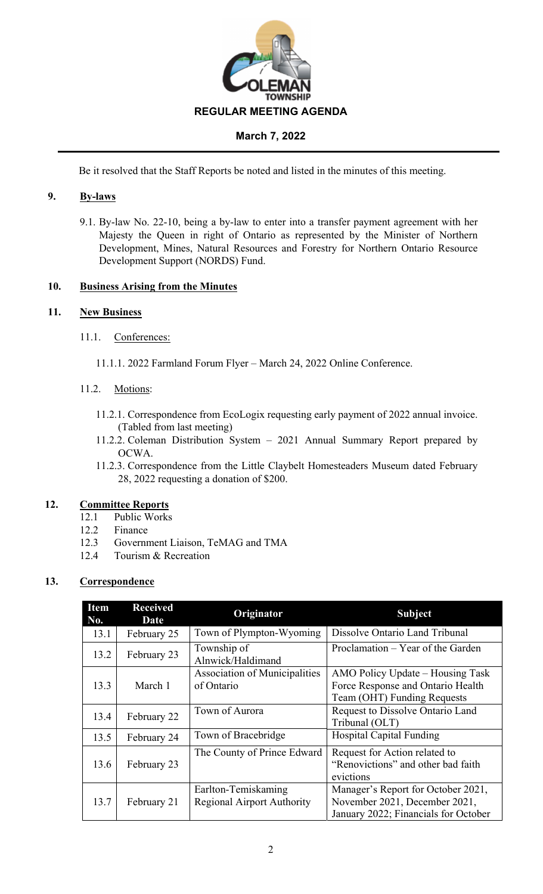

Be it resolved that the Staff Reports be noted and listed in the minutes of this meeting.

# **9. By-laws**

9.1. By-law No. 22-10, being a by-law to enter into a transfer payment agreement with her Majesty the Queen in right of Ontario as represented by the Minister of Northern Development, Mines, Natural Resources and Forestry for Northern Ontario Resource Development Support (NORDS) Fund.

## **10. Business Arising from the Minutes**

## **11. New Business**

- 11.1. Conferences:
	- 11.1.1. 2022 Farmland Forum Flyer March 24, 2022 Online Conference.

## 11.2. Motions:

- 11.2.1. Correspondence from EcoLogix requesting early payment of 2022 annual invoice. (Tabled from last meeting)
- 11.2.2. Coleman Distribution System 2021 Annual Summary Report prepared by OCWA.
- 11.2.3. Correspondence from the Little Claybelt Homesteaders Museum dated February 28, 2022 requesting a donation of \$200.

## **12. Committee Reports**

- 12.1 Public Works
- 12.2 Finance
- 12.3 Government Liaison, TeMAG and TMA
- 12.4 Tourism & Recreation

# **13. Correspondence**

| <b>Item</b><br>No. | <b>Received</b><br>Date | Originator                                               | <b>Subject</b>                                                                                              |  |
|--------------------|-------------------------|----------------------------------------------------------|-------------------------------------------------------------------------------------------------------------|--|
| 13.1               | February 25             | Town of Plympton-Wyoming                                 | Dissolve Ontario Land Tribunal                                                                              |  |
| 13.2               | February 23             | Township of<br>Alnwick/Haldimand                         | Proclamation – Year of the Garden                                                                           |  |
| 13.3               | March 1                 | <b>Association of Municipalities</b><br>of Ontario       | AMO Policy Update – Housing Task<br>Force Response and Ontario Health<br>Team (OHT) Funding Requests        |  |
| 13.4               | February 22             | Town of Aurora                                           | Request to Dissolve Ontario Land<br>Tribunal (OLT)                                                          |  |
| 13.5               | February 24             | Town of Bracebridge                                      | <b>Hospital Capital Funding</b>                                                                             |  |
| 13.6               | February 23             | The County of Prince Edward                              | Request for Action related to<br>"Renovictions" and other bad faith<br>evictions                            |  |
| 13.7               | February 21             | Earlton-Temiskaming<br><b>Regional Airport Authority</b> | Manager's Report for October 2021,<br>November 2021, December 2021,<br>January 2022; Financials for October |  |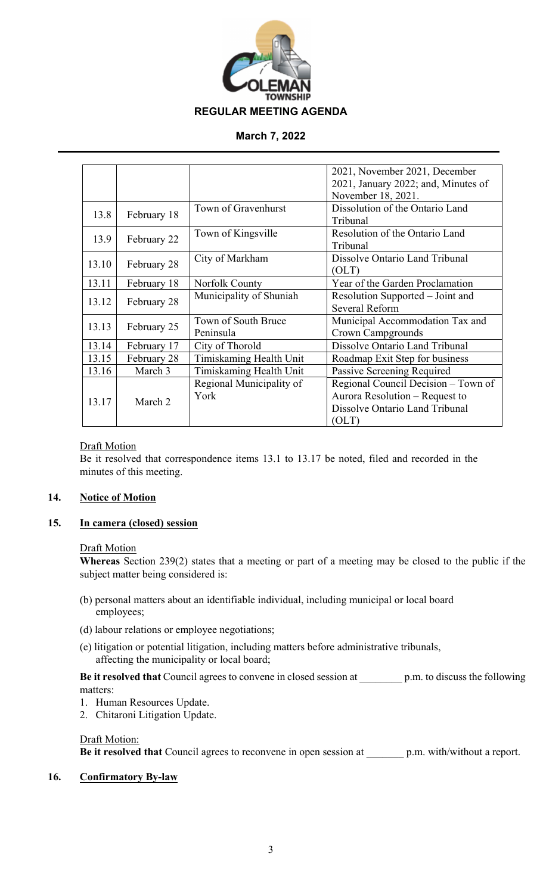

|       |             |                          | 2021, November 2021, December       |  |
|-------|-------------|--------------------------|-------------------------------------|--|
|       |             |                          | 2021, January 2022; and, Minutes of |  |
|       |             |                          | November 18, 2021.                  |  |
| 13.8  | February 18 | Town of Gravenhurst      | Dissolution of the Ontario Land     |  |
|       |             |                          | Tribunal                            |  |
| 13.9  | February 22 | Town of Kingsville       | Resolution of the Ontario Land      |  |
|       |             |                          | Tribunal                            |  |
| 13.10 | February 28 | City of Markham          | Dissolve Ontario Land Tribunal      |  |
|       |             |                          | (OLT)                               |  |
| 13.11 | February 18 | Norfolk County           | Year of the Garden Proclamation     |  |
| 13.12 | February 28 | Municipality of Shuniah  | Resolution Supported – Joint and    |  |
|       |             |                          | Several Reform                      |  |
| 13.13 | February 25 | Town of South Bruce      | Municipal Accommodation Tax and     |  |
|       |             | Peninsula                | Crown Campgrounds                   |  |
| 13.14 | February 17 | City of Thorold          | Dissolve Ontario Land Tribunal      |  |
| 13.15 | February 28 | Timiskaming Health Unit  | Roadmap Exit Step for business      |  |
| 13.16 | March 3     | Timiskaming Health Unit  | Passive Screening Required          |  |
| 13.17 | March 2     | Regional Municipality of | Regional Council Decision – Town of |  |
|       |             | York                     | Aurora Resolution - Request to      |  |
|       |             |                          | Dissolve Ontario Land Tribunal      |  |
|       |             |                          | (OLT)                               |  |

## Draft Motion

Be it resolved that correspondence items 13.1 to 13.17 be noted, filed and recorded in the minutes of this meeting.

## **14. Notice of Motion**

# **15. In camera (closed) session**

#### Draft Motion

**Whereas** Section 239(2) states that a meeting or part of a meeting may be closed to the public if the subject matter being considered is:

- (b) personal matters about an identifiable individual, including municipal or local board employees;
- (d) labour relations or employee negotiations;
- (e) litigation or potential litigation, including matters before administrative tribunals, affecting the municipality or local board;

**Be it resolved that** Council agrees to convene in closed session at \_\_\_\_\_\_\_\_ p.m. to discuss the following matters:

- 1. Human Resources Update.
- 2. Chitaroni Litigation Update.

#### Draft Motion:

**Be it resolved that** Council agrees to reconvene in open session at \_\_\_\_\_\_\_ p.m. with/without a report.

#### **16. Confirmatory By-law**